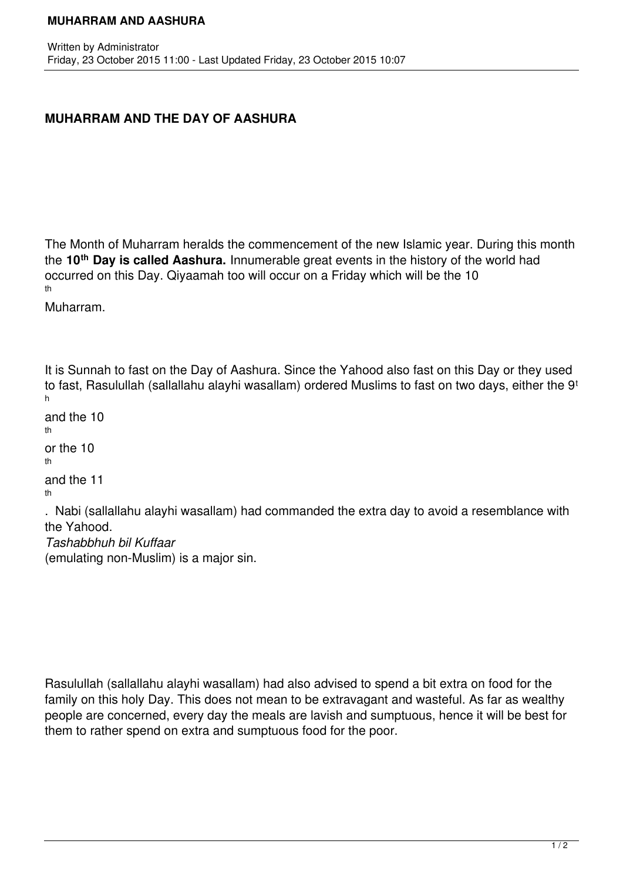## **MUHARRAM AND THE DAY OF AASHURA**

The Month of Muharram heralds the commencement of the new Islamic year. During this month the **10th Day is called Aashura.** Innumerable great events in the history of the world had occurred on this Day. Qiyaamah too will occur on a Friday which will be the 10 th

Muharram.

It is Sunnah to fast on the Day of Aashura. Since the Yahood also fast on this Day or they used to fast, Rasulullah (sallallahu alayhi wasallam) ordered Muslims to fast on two days, either the 9<sup>t</sup> h and the 10 th or the 10 th and the 11 th

. Nabi (sallallahu alayhi wasallam) had commanded the extra day to avoid a resemblance with the Yahood. *Tashabbhuh bil Kuffaar*

(emulating non-Muslim) is a major sin.

Rasulullah (sallallahu alayhi wasallam) had also advised to spend a bit extra on food for the family on this holy Day. This does not mean to be extravagant and wasteful. As far as wealthy people are concerned, every day the meals are lavish and sumptuous, hence it will be best for them to rather spend on extra and sumptuous food for the poor.